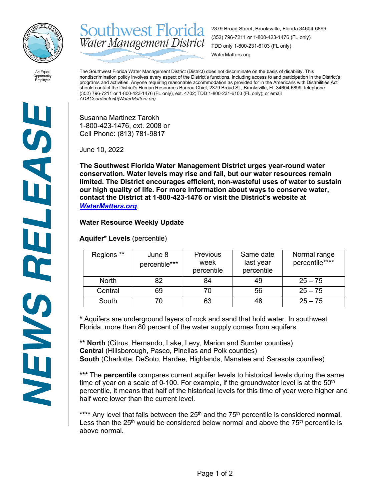

**Southwest Florida** 2379 Broad Street, Brooksville, Florida 34604-6899 (352) 796-7211 or 1-800-423-1476 (FL only) Water Management District TDD only 1-800-231-6103 (FL only) WaterMatters.org

An Equal Opportunity Employer

The Southwest Florida Water Management District (District) does not discriminate on the basis of disability. This nondiscrimination policy involves every aspect of the District's functions, including access to and participation in the District's programs and activities. Anyone requiring reasonable accommodation as provided for in the Americans with Disabilities Act should contact the District's Human Resources Bureau Chief, 2379 Broad St., Brooksville, FL 34604-6899; telephone (352) 796-7211 or 1-800-423-1476 (FL only), ext. 4702; TDD 1-800-231-6103 (FL only); or email *ADACoordinator@WaterMatters.org.*

Susanna Martinez Tarokh 1-800-423-1476, ext. 2008 or Cell Phone: (813) 781-9817

June 10, 2022

**The Southwest Florida Water Management District urges year-round water conservation. Water levels may rise and fall, but our water resources remain limited. The District encourages efficient, non-wasteful uses of water to sustain our high quality of life. For more information about ways to conserve water, contact the District at 1-800-423-1476 or visit the District's website at**  *[WaterMatters.org](http://watermatters.org/)*.

## **Water Resource Weekly Update**

**Aquifer\* Levels** (percentile)

| Regions **   | June 8<br>percentile*** | <b>Previous</b><br>week<br>percentile | Same date<br>last year<br>percentile | Normal range<br>percentile**** |
|--------------|-------------------------|---------------------------------------|--------------------------------------|--------------------------------|
| <b>North</b> | 82                      | 84                                    | 49                                   | $25 - 75$                      |
| Central      | 69                      |                                       | 56                                   | $25 - 75$                      |
| South        |                         | 63                                    | 48                                   | $25 - 75$                      |

**\*** Aquifers are underground layers of rock and sand that hold water. In southwest Florida, more than 80 percent of the water supply comes from aquifers.

**\*\* North** (Citrus, Hernando, Lake, Levy, Marion and Sumter counties) **Central** (Hillsborough, Pasco, Pinellas and Polk counties) **South** (Charlotte, DeSoto, Hardee, Highlands, Manatee and Sarasota counties)

**\*\*\*** The **percentile** compares current aquifer levels to historical levels during the same time of year on a scale of 0-100. For example, if the groundwater level is at the  $50<sup>th</sup>$ percentile, it means that half of the historical levels for this time of year were higher and half were lower than the current level.

\*\*\*\* Any level that falls between the 25<sup>th</sup> and the 75<sup>th</sup> percentile is considered **normal**. Less than the  $25<sup>th</sup>$  would be considered below normal and above the  $75<sup>th</sup>$  percentile is above normal.